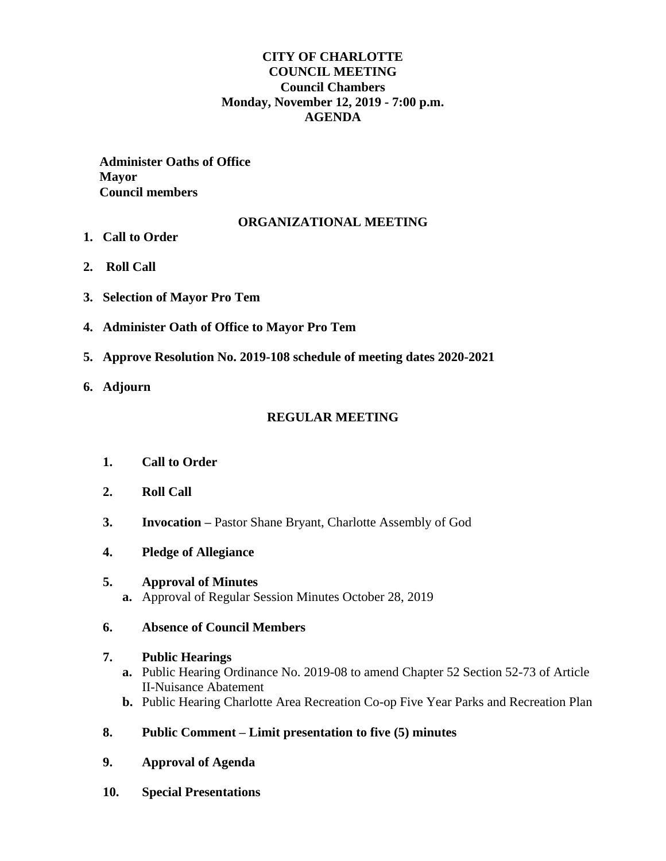# **CITY OF CHARLOTTE COUNCIL MEETING Council Chambers Monday, November 12, 2019 - 7:00 p.m. AGENDA**

 **Administer Oaths of Office Mayor Council members** 

# **ORGANIZATIONAL MEETING**

**1. Call to Order**

- **2. Roll Call**
- **3. Selection of Mayor Pro Tem**
- **4. Administer Oath of Office to Mayor Pro Tem**
- **5. Approve Resolution No. 2019-108 schedule of meeting dates 2020-2021**
- **6. Adjourn**

#### **REGULAR MEETING**

- **1. Call to Order**
- **2. Roll Call**
- **3. Invocation –** Pastor Shane Bryant, Charlotte Assembly of God
- **4. Pledge of Allegiance**

# **5. Approval of Minutes**

**a.** Approval of Regular Session Minutes October 28, 2019

#### **6. Absence of Council Members**

#### **7. Public Hearings**

- **a.** Public Hearing Ordinance No. 2019-08 to amend Chapter 52 Section 52-73 of Article II-Nuisance Abatement
- **b.** Public Hearing Charlotte Area Recreation Co-op Five Year Parks and Recreation Plan

# **8. Public Comment – Limit presentation to five (5) minutes**

- **9. Approval of Agenda**
- **10. Special Presentations**